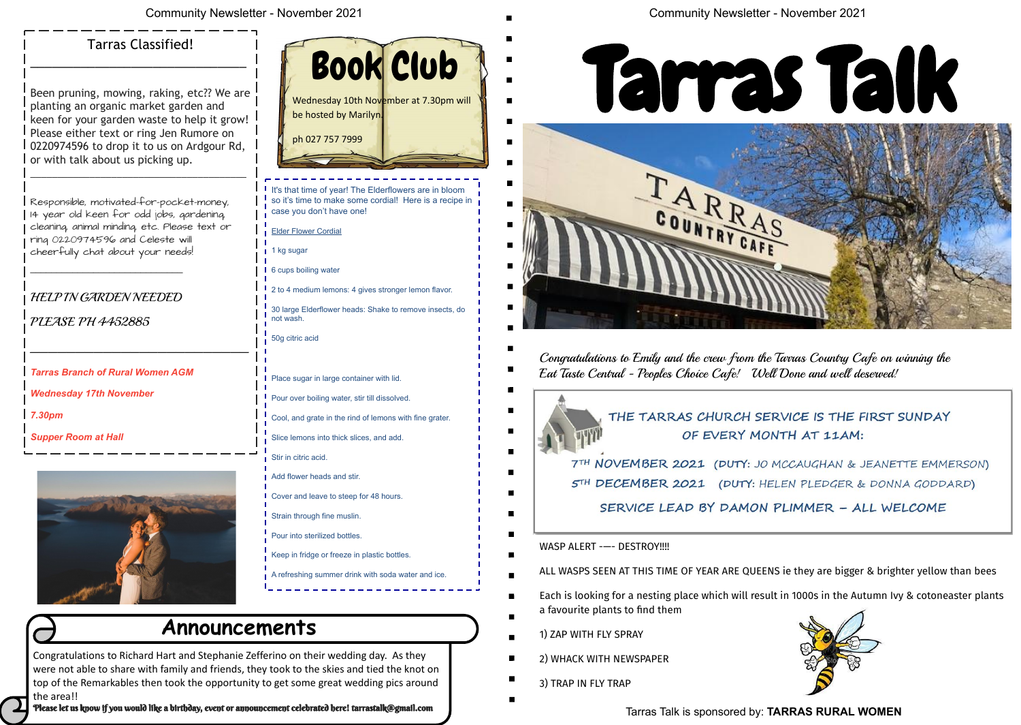Congratulations to Richard Hart and Stephanie Zefferino on their wedding day. As they were not able to share with family and friends, they took to the skies and tied the knot on top of the Remarkables then took the opportunity to get some great wedding pics around the area!!

| <b>Community Newsletter - November 2021</b>                                                                                                                                                                                                                         |                                                                                                                                                                                                                                                                                                                                                                     | <b>Community Newsle</b>                                                                                                                             |
|---------------------------------------------------------------------------------------------------------------------------------------------------------------------------------------------------------------------------------------------------------------------|---------------------------------------------------------------------------------------------------------------------------------------------------------------------------------------------------------------------------------------------------------------------------------------------------------------------------------------------------------------------|-----------------------------------------------------------------------------------------------------------------------------------------------------|
| <b>Tarras Classified!</b>                                                                                                                                                                                                                                           | <b>Book Club</b>                                                                                                                                                                                                                                                                                                                                                    |                                                                                                                                                     |
| Been pruning, mowing, raking, etc?? We are<br>planting an organic market garden and<br>keen for your garden waste to help it grow!<br>Please either text or ring Jen Rumore on<br>0220974596 to drop it to us on Ardgour Rd,<br>or with talk about us picking up.   | Wednesday 10th November at 7.30pm will<br>be hosted by Marilyn.<br>ph 027 757 7999                                                                                                                                                                                                                                                                                  | <b>Iarra</b>                                                                                                                                        |
| Responsible, motivated-for-pocket-money,<br>14 year old keen for odd jobs, gardening,<br>cleaning, animal minding, etc. Please text or<br>ring 0220974596 and Celeste will<br>cheerfully chat about your needs!<br><b>HELPIN GARDEN NEEDED</b><br>PLEASE PH 4452885 | It's that time of year! The Elderflowers are in bloom<br>so it's time to make some cordial! Here is a recipe in<br>case you don't have one!<br><b>Elder Flower Cordial</b><br>1 kg sugar<br>6 cups boiling water<br>2 to 4 medium lemons: 4 gives stronger lemon flavor.<br>30 large Elderflower heads: Shake to remove insects, do<br>not wash.<br>50g citric acid | <b>CRYC</b>                                                                                                                                         |
| <b>Tarras Branch of Rural Women AGM</b><br><b>Wednesday 17th November</b><br>7.30 <sub>pm</sub><br><b>Supper Room at Hall</b>                                                                                                                                       | Place sugar in large container with lid.<br>Pour over boiling water, stir till dissolved.<br>Cool, and grate in the rind of lemons with fine grater.<br>Slice lemons into thick slices, and add.<br>Stir in citric acid.                                                                                                                                            | Congratulations to Emily and the crew from<br>Eat Taste Central - Peoples Choice Cafe!<br>THE TARRAS CHURCH<br>OF EVERY<br>7TH NOVEMBER 2021 (DUTY: |
|                                                                                                                                                                                                                                                                     | Add flower heads and stir.<br>Cover and leave to steep for 48 hours.<br>Strain through fine muslin.<br>Pour into sterilized bottles.<br>Keep in fridge or freeze in plastic bottles.                                                                                                                                                                                | <b>STH DECEMBER 2021 (DUTY</b><br>SERVICE LEAD BY DAM<br>WASP ALERT --- DESTROY !!!!                                                                |

Please let us know if you would like a birthday, event or announcement celebrated here! tarrastalk@gmail.com

## tter - November 2021

**Announcements**

### Tarras Talk is sponsored by: **TARRAS RURAL WOMEN**



n the Tarras Country Cafe on winning the Well Done and well deserved!

# SERVICE IS THE FIRST SUNDAY MONTH AT 11AM:

JO MCCAUGHAN & JEANETTE EMMERSON) : HELEN PLEDGER & DONNA GODDARD)

ON PLIMMER - ALL WELCOME



- ALL WASPS SEEN AT THIS TIME OF YEAR ARE QUEENS ie they are bigger & brighter yellow than bees  $\blacksquare$
- Each is looking for a nesting place which will result in 1000s in the Autumn Ivy & cotoneaster plants  $\blacksquare$ a favourite plants to find them  $\blacksquare$
- 1) ZAP WITH FLY SPRAY
- 2) WHACK WITH NEWSPAPER
- 3) TRAP IN FLY TRAP
- 

A refreshing summer drink with soda water and ice.